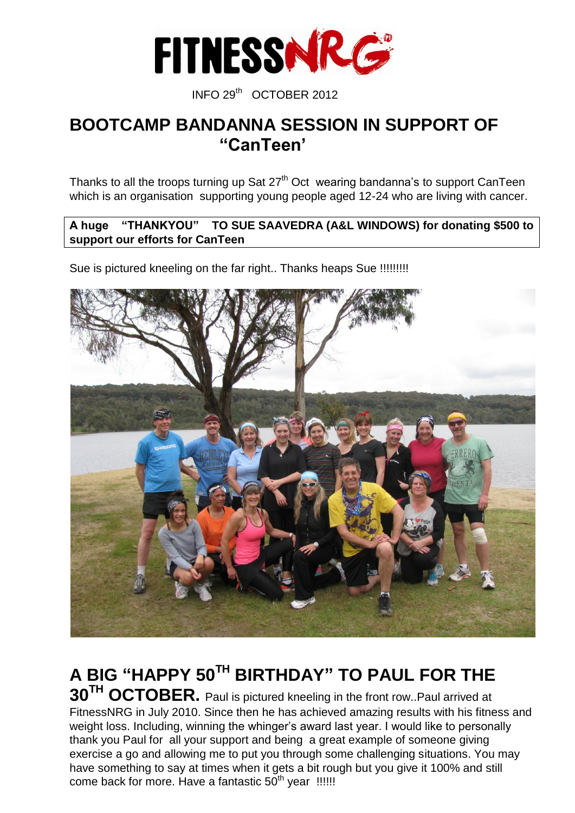

#### INFO 29th OCTOBER <sup>2012</sup>

#### **BOOTCAMP BANDANNA SESSION IN SUPPORT OF "CanTeen'**

Thanks to all the troops turning up Sat  $27<sup>th</sup>$  Oct wearing bandanna's to support CanTeen which is an organisation supporting young people aged 12-24 who are living with cancer.

#### **A huge "THANKYOU" TO SUE SAAVEDRA (A&L WINDOWS) for donating \$500 to support our efforts for CanTeen**

Sue is pictured kneeling on the far right.. Thanks heaps Sue !!!!!!!!!!



**A BIG "HAPPY 50TH BIRTHDAY" TO PAUL FOR THE 30TH OCTOBER.** Paul is pictured kneeling in the front row..Paul arrived at FitnessNRG in July 2010. Since then he has achieved amazing results with his fitness and weight loss. Including, winning the whinger's award last year. I would like to personally thank you Paul for all your support and being a great example of someone giving exercise a go and allowing me to put you through some challenging situations. You may have something to say at times when it gets a bit rough but you give it 100% and still come back for more. Have a fantastic  $50<sup>th</sup>$  year !!!!!!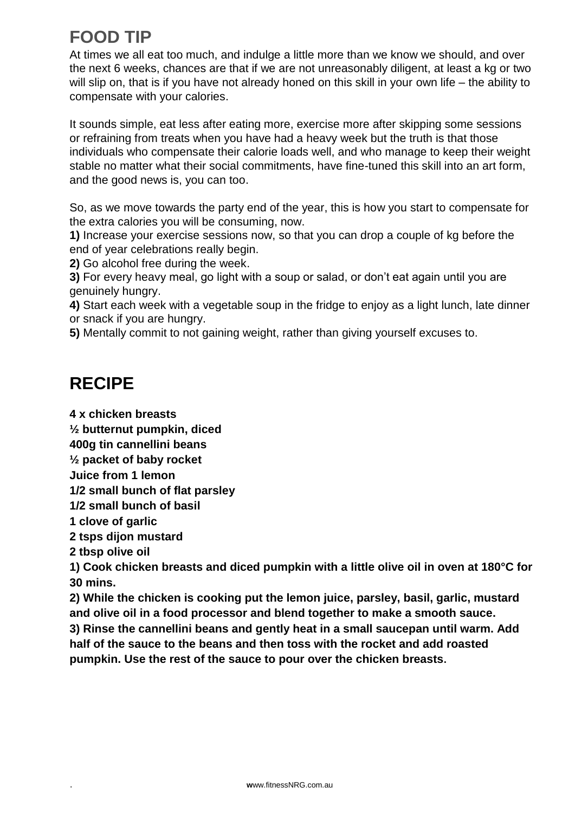# **FOOD TIP**

At times we all eat too much, and indulge a little more than we know we should, and over the next 6 weeks, chances are that if we are not unreasonably diligent, at least a kg or two will slip on, that is if you have not already honed on this skill in your own life – the ability to compensate with your calories.

It sounds simple, eat less after eating more, exercise more after skipping some sessions or refraining from treats when you have had a heavy week but the truth is that those individuals who compensate their calorie loads well, and who manage to keep their weight stable no matter what their social commitments, have fine-tuned this skill into an art form, and the good news is, you can too.

So, as we move towards the party end of the year, this is how you start to compensate for the extra calories you will be consuming, now.

**1)** Increase your exercise sessions now, so that you can drop a couple of kg before the end of year celebrations really begin.

**2)** Go alcohol free during the week.

**3)** For every heavy meal, go light with a soup or salad, or don't eat again until you are genuinely hungry.

**4)** Start each week with a vegetable soup in the fridge to enjoy as a light lunch, late dinner or snack if you are hungry.

**5)** Mentally commit to not gaining weight, rather than giving yourself excuses to.

### **RECIPE**

**4 x chicken breasts**

**½ butternut pumpkin, diced**

**400g tin cannellini beans**

**½ packet of baby rocket**

**Juice from 1 lemon**

**1/2 small bunch of flat parsley**

**1/2 small bunch of basil**

**1 clove of garlic**

**2 tsps dijon mustard**

**2 tbsp olive oil**

**1) Cook chicken breasts and diced pumpkin with a little olive oil in oven at 180°C for 30 mins.**

**2) While the chicken is cooking put the lemon juice, parsley, basil, garlic, mustard and olive oil in a food processor and blend together to make a smooth sauce. 3) Rinse the cannellini beans and gently heat in a small saucepan until warm. Add half of the sauce to the beans and then toss with the rocket and add roasted pumpkin. Use the rest of the sauce to pour over the chicken breasts.**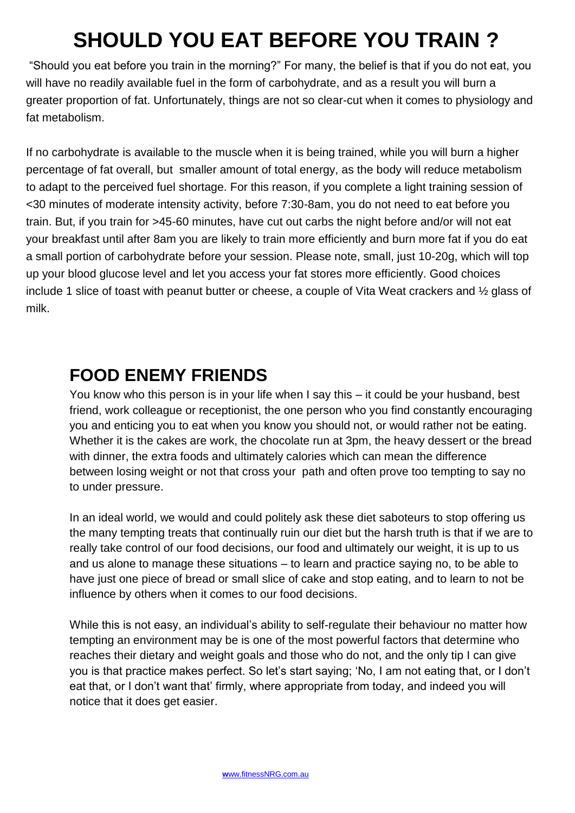# **SHOULD YOU EAT BEFORE YOU TRAIN ?**

"Should you eat before you train in the morning?" For many, the belief is that if you do not eat, you will have no readily available fuel in the form of carbohydrate, and as a result you will burn a greater proportion of fat. Unfortunately, things are not so clear-cut when it comes to physiology and fat metabolism.

If no carbohydrate is available to the muscle when it is being trained, while you will burn a higher percentage of fat overall, but smaller amount of total energy, as the body will reduce metabolism to adapt to the perceived fuel shortage. For this reason, if you complete a light training session of <30 minutes of moderate intensity activity, before 7:30-8am, you do not need to eat before you train. But, if you train for >45-60 minutes, have cut out carbs the night before and/or will not eat your breakfast until after 8am you are likely to train more efficiently and burn more fat if you do eat a small portion of carbohydrate before your session. Please note, small, just 10-20g, which will top up your blood glucose level and let you access your fat stores more efficiently. Good choices include 1 slice of toast with peanut butter or cheese, a couple of Vita Weat crackers and ½ glass of milk.

### **FOOD ENEMY FRIENDS**

You know who this person is in your life when I say this – it could be your husband, best friend, work colleague or receptionist, the one person who you find constantly encouraging you and enticing you to eat when you know you should not, or would rather not be eating. Whether it is the cakes are work, the chocolate run at 3pm, the heavy dessert or the bread with dinner, the extra foods and ultimately calories which can mean the difference between losing weight or not that cross your path and often prove too tempting to say no to under pressure.

In an ideal world, we would and could politely ask these diet saboteurs to stop offering us the many tempting treats that continually ruin our diet but the harsh truth is that if we are to really take control of our food decisions, our food and ultimately our weight, it is up to us and us alone to manage these situations – to learn and practice saying no, to be able to have just one piece of bread or small slice of cake and stop eating, and to learn to not be influence by others when it comes to our food decisions.

While this is not easy, an individual's ability to self-regulate their behaviour no matter how tempting an environment may be is one of the most powerful factors that determine who reaches their dietary and weight goals and those who do not, and the only tip I can give you is that practice makes perfect. So let's start saying; 'No, I am not eating that, or I don't eat that, or I don't want that' firmly, where appropriate from today, and indeed you will notice that it does get easier.